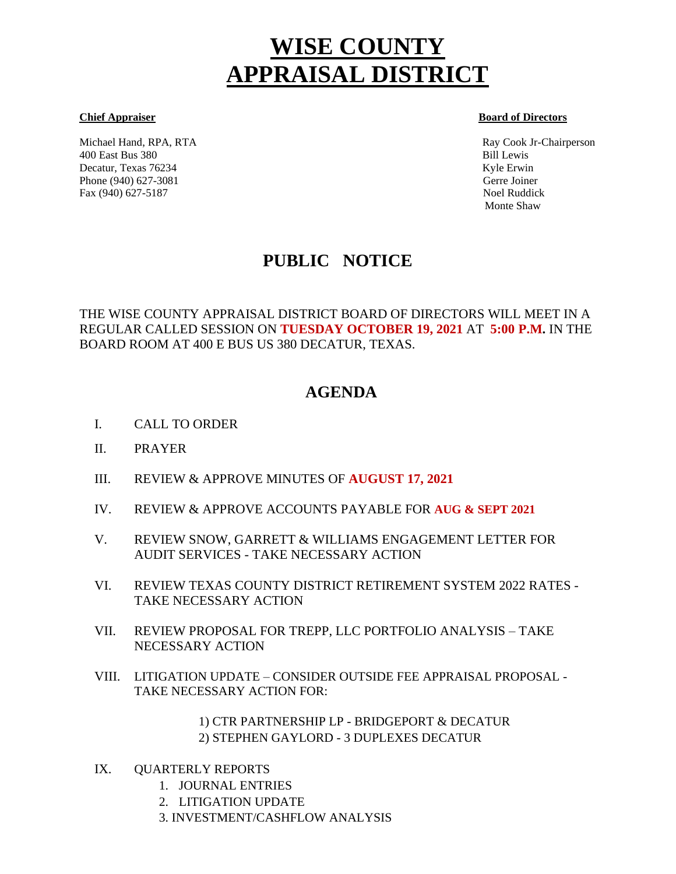# **WISE COUNTY APPRAISAL DISTRICT**

Michael Hand, RPA, RTA Ray Cook Jr-Chairperson 400 East Bus 380 Bill Lewis Decatur, Texas 76234 Kyle Erwin Kyle Erwin Kyle Erwin Kyle Erwin Kyle Erwin Kyle Erwin Kyle Erwin Kyle Erwin Kyle Erwin Kyle Erwin Kyle Erwin Kyle Erwin Kyle Erwin Kyle Erwin Kyle Erwin Kyle Erwin Kyle Erwin Kyle Erwin Kyl Phone (940) 627-3081 Gerre Joiner Fax (940) 627-5187 Noel Ruddick

#### **Chief Appraiser Board of Directors**

Monte Shaw

# **PUBLIC NOTICE**

THE WISE COUNTY APPRAISAL DISTRICT BOARD OF DIRECTORS WILL MEET IN A REGULAR CALLED SESSION ON **TUESDAY OCTOBER 19, 2021** AT **5:00 P.M.** IN THE BOARD ROOM AT 400 E BUS US 380 DECATUR, TEXAS.

# **AGENDA**

- I. CALL TO ORDER Í
- II. PRAYER
- III. REVIEW & APPROVE MINUTES OF **AUGUST 17, 2021**
- IV. REVIEW & APPROVE ACCOUNTS PAYABLE FOR **AUG & SEPT 2021**
- V. REVIEW SNOW, GARRETT & WILLIAMS ENGAGEMENT LETTER FOR AUDIT SERVICES - TAKE NECESSARY ACTION
- VI. REVIEW TEXAS COUNTY DISTRICT RETIREMENT SYSTEM 2022 RATES TAKE NECESSARY ACTION
- VII. REVIEW PROPOSAL FOR TREPP, LLC PORTFOLIO ANALYSIS TAKE NECESSARY ACTION
- VIII. LITIGATION UPDATE CONSIDER OUTSIDE FEE APPRAISAL PROPOSAL TAKE NECESSARY ACTION FOR:

1) CTR PARTNERSHIP LP - BRIDGEPORT & DECATUR 2) STEPHEN GAYLORD - 3 DUPLEXES DECATUR

- IX. QUARTERLY REPORTS
	- 1. JOURNAL ENTRIES
	- 2. LITIGATION UPDATE
	- 3. INVESTMENT/CASHFLOW ANALYSIS